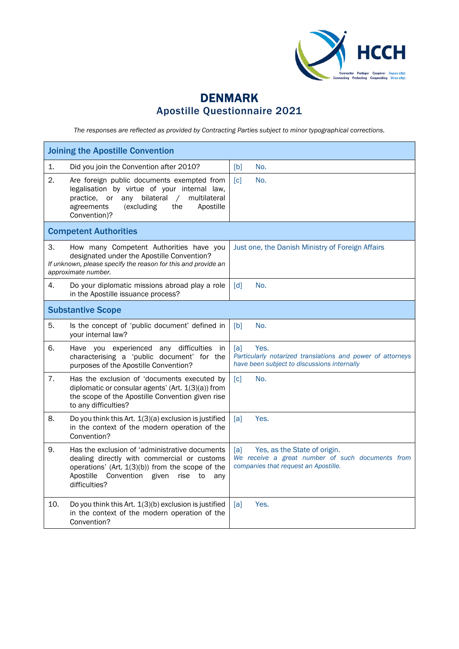

## DENMARK Apostille Questionnaire 2021

*The responses are reflected as provided by Contracting Parties subject to minor typographical corrections.*

| <b>Joining the Apostille Convention</b>                                                                                                                                                                                           |                                                                                                                                 |  |
|-----------------------------------------------------------------------------------------------------------------------------------------------------------------------------------------------------------------------------------|---------------------------------------------------------------------------------------------------------------------------------|--|
| 1.<br>Did you join the Convention after 2010?                                                                                                                                                                                     | [b]<br>No.                                                                                                                      |  |
| 2.<br>Are foreign public documents exempted from<br>legalisation by virtue of your internal law,<br>practice, or<br>any bilateral<br>$\sqrt{2}$<br>multilateral<br>agreements<br>(excluding<br>the<br>Apostille<br>Convention)?   | $\lceil c \rceil$<br>No.                                                                                                        |  |
| <b>Competent Authorities</b>                                                                                                                                                                                                      |                                                                                                                                 |  |
| 3.<br>How many Competent Authorities have you<br>designated under the Apostille Convention?<br>If unknown, please specify the reason for this and provide an<br>approximate number.                                               | Just one, the Danish Ministry of Foreign Affairs                                                                                |  |
| 4.<br>Do your diplomatic missions abroad play a role<br>in the Apostille issuance process?                                                                                                                                        | $\lceil d \rceil$<br>No.                                                                                                        |  |
| <b>Substantive Scope</b>                                                                                                                                                                                                          |                                                                                                                                 |  |
| 5.<br>Is the concept of 'public document' defined in<br>your internal law?                                                                                                                                                        | [b]<br>No.                                                                                                                      |  |
| 6.<br>Have you experienced any difficulties<br>in.<br>characterising a 'public document' for the<br>purposes of the Apostille Convention?                                                                                         | [a]<br>Yes.<br>Particularly notarized translations and power of attorneys<br>have been subject to discussions internally        |  |
| 7.<br>Has the exclusion of 'documents executed by<br>diplomatic or consular agents' (Art. $1(3)(a)$ ) from<br>the scope of the Apostille Convention given rise<br>to any difficulties?                                            | $\lceil c \rceil$<br>No.                                                                                                        |  |
| 8.<br>Do you think this Art. 1(3)(a) exclusion is justified<br>in the context of the modern operation of the<br>Convention?                                                                                                       | Yes.<br>[a]                                                                                                                     |  |
| 9.<br>Has the exclusion of 'administrative documents<br>dealing directly with commercial or customs<br>operations' (Art. 1(3)(b)) from the scope of the<br>Apostille<br>Convention<br>given<br>rise<br>to<br>any<br>difficulties? | Yes, as the State of origin.<br>[a]<br>We receive a great number of such documents from<br>companies that request an Apostille. |  |
| 10.<br>Do you think this Art. 1(3)(b) exclusion is justified<br>in the context of the modern operation of the<br>Convention?                                                                                                      | Yes.<br>[a]                                                                                                                     |  |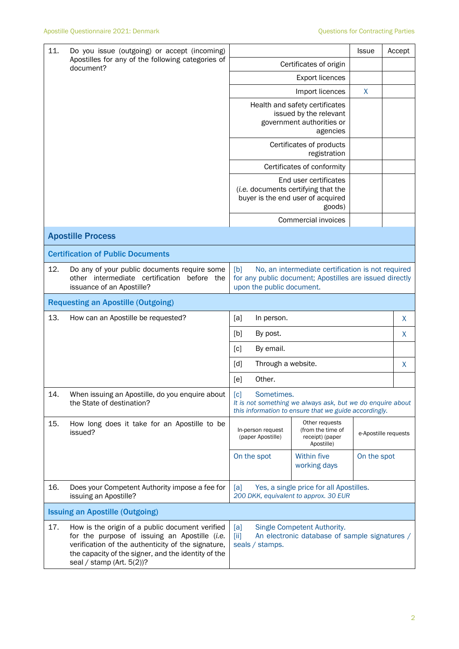| 11.<br>Do you issue (outgoing) or accept (incoming)            |                                                                                                                                                                                                                                            |                                                                                                                                                  |                                                                                                             | <b>Issue</b>         |  | Accept  |
|----------------------------------------------------------------|--------------------------------------------------------------------------------------------------------------------------------------------------------------------------------------------------------------------------------------------|--------------------------------------------------------------------------------------------------------------------------------------------------|-------------------------------------------------------------------------------------------------------------|----------------------|--|---------|
| Apostilles for any of the following categories of<br>document? | Certificates of origin                                                                                                                                                                                                                     |                                                                                                                                                  |                                                                                                             |                      |  |         |
|                                                                |                                                                                                                                                                                                                                            |                                                                                                                                                  |                                                                                                             |                      |  |         |
|                                                                |                                                                                                                                                                                                                                            |                                                                                                                                                  | Import licences                                                                                             | X                    |  |         |
|                                                                |                                                                                                                                                                                                                                            |                                                                                                                                                  | Health and safety certificates<br>issued by the relevant<br>government authorities or                       |                      |  |         |
|                                                                |                                                                                                                                                                                                                                            |                                                                                                                                                  | agencies                                                                                                    |                      |  |         |
|                                                                |                                                                                                                                                                                                                                            |                                                                                                                                                  | Certificates of products<br>registration                                                                    |                      |  |         |
|                                                                |                                                                                                                                                                                                                                            |                                                                                                                                                  | Certificates of conformity                                                                                  |                      |  |         |
|                                                                |                                                                                                                                                                                                                                            |                                                                                                                                                  | End user certificates<br>(i.e. documents certifying that the<br>buyer is the end user of acquired<br>goods) |                      |  |         |
|                                                                |                                                                                                                                                                                                                                            |                                                                                                                                                  | Commercial invoices                                                                                         |                      |  |         |
|                                                                | <b>Apostille Process</b>                                                                                                                                                                                                                   |                                                                                                                                                  |                                                                                                             |                      |  |         |
|                                                                | <b>Certification of Public Documents</b>                                                                                                                                                                                                   |                                                                                                                                                  |                                                                                                             |                      |  |         |
| 12.                                                            | Do any of your public documents require some<br>other intermediate certification before the<br>issuance of an Apostille?                                                                                                                   | [b]<br>No, an intermediate certification is not required<br>for any public document; Apostilles are issued directly<br>upon the public document. |                                                                                                             |                      |  |         |
|                                                                | <b>Requesting an Apostille (Outgoing)</b>                                                                                                                                                                                                  |                                                                                                                                                  |                                                                                                             |                      |  |         |
| 13.                                                            | How can an Apostille be requested?                                                                                                                                                                                                         | [a]<br>In person.                                                                                                                                |                                                                                                             |                      |  | $\sf X$ |
|                                                                |                                                                                                                                                                                                                                            | [b]<br>By post.                                                                                                                                  |                                                                                                             |                      |  | X       |
|                                                                |                                                                                                                                                                                                                                            | By email.<br>$\lceil c \rceil$                                                                                                                   |                                                                                                             |                      |  |         |
|                                                                |                                                                                                                                                                                                                                            | $\lceil d \rceil$<br>Through a website.                                                                                                          |                                                                                                             |                      |  | X       |
|                                                                |                                                                                                                                                                                                                                            | Other.<br>[e]                                                                                                                                    |                                                                                                             |                      |  |         |
| 14.                                                            | When issuing an Apostille, do you enquire about<br>the State of destination?                                                                                                                                                               | [c]<br>Sometimes.<br>It is not something we always ask, but we do enquire about<br>this information to ensure that we guide accordingly.         |                                                                                                             |                      |  |         |
| 15.                                                            | How long does it take for an Apostille to be<br>issued?                                                                                                                                                                                    | In-person request<br>(paper Apostille)                                                                                                           | Other requests<br>(from the time of<br>receipt) (paper<br>Apostille)                                        | e-Apostille requests |  |         |
|                                                                |                                                                                                                                                                                                                                            | On the spot                                                                                                                                      | Within five<br>working days                                                                                 | On the spot          |  |         |
| 16.                                                            | Does your Competent Authority impose a fee for<br>issuing an Apostille?                                                                                                                                                                    | Yes, a single price for all Apostilles.<br>[a]<br>200 DKK, equivalent to approx. 30 EUR                                                          |                                                                                                             |                      |  |         |
|                                                                | <b>Issuing an Apostille (Outgoing)</b>                                                                                                                                                                                                     |                                                                                                                                                  |                                                                                                             |                      |  |         |
| 17.                                                            | How is the origin of a public document verified<br>for the purpose of issuing an Apostille (i.e.<br>verification of the authenticity of the signature,<br>the capacity of the signer, and the identity of the<br>seal / stamp (Art. 5(2))? | Single Competent Authority.<br>[a]<br>An electronic database of sample signatures /<br>$\left[\text{iii}\right]$<br>seals / stamps.              |                                                                                                             |                      |  |         |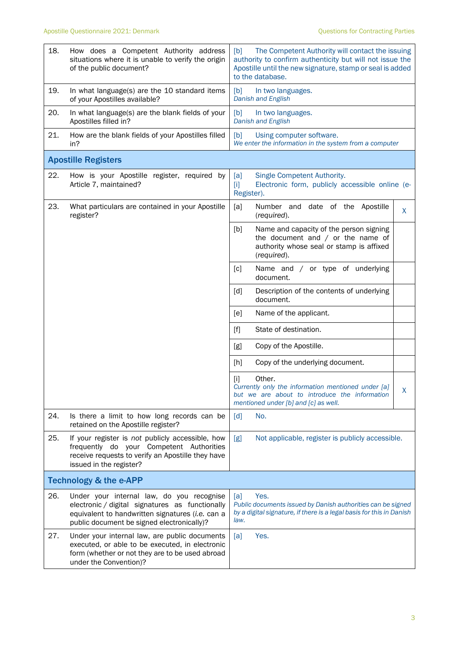| 18. | How does a Competent Authority address<br>situations where it is unable to verify the origin<br>of the public document?                                                                        | The Competent Authority will contact the issuing<br>[b]<br>authority to confirm authenticity but will not issue the<br>Apostille until the new signature, stamp or seal is added<br>to the database. |  |  |
|-----|------------------------------------------------------------------------------------------------------------------------------------------------------------------------------------------------|------------------------------------------------------------------------------------------------------------------------------------------------------------------------------------------------------|--|--|
| 19. | In what language(s) are the 10 standard items<br>of your Apostilles available?                                                                                                                 | [b]<br>In two languages.<br><b>Danish and English</b>                                                                                                                                                |  |  |
| 20. | In what language(s) are the blank fields of your<br>Apostilles filled in?                                                                                                                      | [b]<br>In two languages.<br>Danish and English                                                                                                                                                       |  |  |
| 21. | How are the blank fields of your Apostilles filled<br>in?                                                                                                                                      | Using computer software.<br>[b]<br>We enter the information in the system from a computer                                                                                                            |  |  |
|     | <b>Apostille Registers</b>                                                                                                                                                                     |                                                                                                                                                                                                      |  |  |
| 22. | How is your Apostille register, required by<br>Article 7, maintained?                                                                                                                          | Single Competent Authority.<br>[a]<br>Electronic form, publicly accessible online (e-<br>$[1]$<br>Register).                                                                                         |  |  |
| 23. | What particulars are contained in your Apostille<br>register?                                                                                                                                  | Number and date of the Apostille<br>[a]<br>X<br>(required).                                                                                                                                          |  |  |
|     |                                                                                                                                                                                                | Name and capacity of the person signing<br>[b]<br>the document and $/$ or the name of<br>authority whose seal or stamp is affixed<br>(required).                                                     |  |  |
|     |                                                                                                                                                                                                | $\lceil c \rceil$<br>Name and / or type of underlying<br>document.                                                                                                                                   |  |  |
|     |                                                                                                                                                                                                | [d]<br>Description of the contents of underlying<br>document.                                                                                                                                        |  |  |
|     |                                                                                                                                                                                                | Name of the applicant.<br>[e]                                                                                                                                                                        |  |  |
|     |                                                                                                                                                                                                | $[f]$<br>State of destination.                                                                                                                                                                       |  |  |
|     |                                                                                                                                                                                                | Copy of the Apostille.<br>[g]                                                                                                                                                                        |  |  |
|     |                                                                                                                                                                                                | Copy of the underlying document.<br>[h]                                                                                                                                                              |  |  |
|     |                                                                                                                                                                                                | Other.<br>$[1]$<br>Currently only the information mentioned under [a]<br>X<br>but we are about to introduce the information<br>mentioned under [b] and [c] as well.                                  |  |  |
| 24. | Is there a limit to how long records can be<br>retained on the Apostille register?                                                                                                             | [d]<br>No.                                                                                                                                                                                           |  |  |
| 25. | If your register is not publicly accessible, how<br>frequently do your Competent Authorities<br>receive requests to verify an Apostille they have<br>issued in the register?                   | Not applicable, register is publicly accessible.<br>[g]                                                                                                                                              |  |  |
|     | <b>Technology &amp; the e-APP</b>                                                                                                                                                              |                                                                                                                                                                                                      |  |  |
| 26. | Under your internal law, do you recognise<br>electronic / digital signatures as functionally<br>equivalent to handwritten signatures (i.e. can a<br>public document be signed electronically)? | Yes.<br>[a]<br>Public documents issued by Danish authorities can be signed<br>by a digital signature, if there is a legal basis for this in Danish<br>law.                                           |  |  |
| 27. | Under your internal law, are public documents<br>executed, or able to be executed, in electronic<br>form (whether or not they are to be used abroad<br>under the Convention)?                  | Yes.<br>[a]                                                                                                                                                                                          |  |  |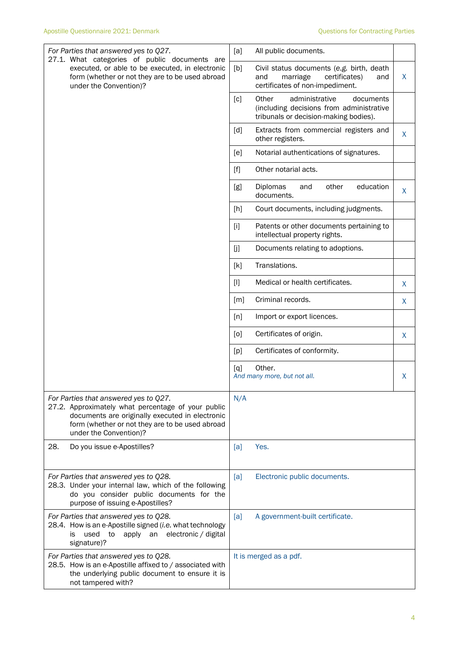| For Parties that answered yes to Q27.<br>27.1. What categories of public documents are                                                                                                                                      | [a]<br>All public documents.                                                                                                     |    |
|-----------------------------------------------------------------------------------------------------------------------------------------------------------------------------------------------------------------------------|----------------------------------------------------------------------------------------------------------------------------------|----|
| executed, or able to be executed, in electronic<br>form (whether or not they are to be used abroad<br>under the Convention)?                                                                                                | [b]<br>Civil status documents (e.g. birth, death<br>marriage<br>certificates)<br>and<br>and<br>certificates of non-impediment.   | X. |
|                                                                                                                                                                                                                             | administrative<br>Other<br>[c]<br>documents<br>(including decisions from administrative<br>tribunals or decision-making bodies). |    |
|                                                                                                                                                                                                                             | [d]<br>Extracts from commercial registers and<br>other registers.                                                                | X  |
|                                                                                                                                                                                                                             | Notarial authentications of signatures.<br>[e]                                                                                   |    |
|                                                                                                                                                                                                                             | Other notarial acts.<br>$[f]$                                                                                                    |    |
|                                                                                                                                                                                                                             | education<br>Diplomas<br>[g]<br>other<br>and<br>documents.                                                                       | X  |
|                                                                                                                                                                                                                             | [h]<br>Court documents, including judgments.                                                                                     |    |
|                                                                                                                                                                                                                             | [1]<br>Patents or other documents pertaining to<br>intellectual property rights.                                                 |    |
|                                                                                                                                                                                                                             | [j]<br>Documents relating to adoptions.                                                                                          |    |
|                                                                                                                                                                                                                             | Translations.<br>[k]                                                                                                             |    |
|                                                                                                                                                                                                                             | Medical or health certificates.<br>$[1]$                                                                                         | X  |
|                                                                                                                                                                                                                             | Criminal records.<br>[m]                                                                                                         | X  |
|                                                                                                                                                                                                                             | [n]<br>Import or export licences.                                                                                                |    |
|                                                                                                                                                                                                                             | Certificates of origin.<br>[0]                                                                                                   | X  |
|                                                                                                                                                                                                                             | Certificates of conformity.<br>[p]                                                                                               |    |
|                                                                                                                                                                                                                             | Other.<br>[q]<br>And many more, but not all.                                                                                     | X  |
| For Parties that answered yes to Q27.<br>27.2. Approximately what percentage of your public<br>documents are originally executed in electronic<br>form (whether or not they are to be used abroad<br>under the Convention)? | N/A                                                                                                                              |    |
| 28.<br>Do you issue e-Apostilles?                                                                                                                                                                                           | [a]<br>Yes.                                                                                                                      |    |
| For Parties that answered yes to Q28.<br>28.3. Under your internal law, which of the following<br>do you consider public documents for the<br>purpose of issuing e-Apostilles?                                              | Electronic public documents.<br>[a]                                                                                              |    |
| For Parties that answered yes to Q28.<br>28.4. How is an e-Apostille signed (i.e. what technology<br>apply an electronic / digital<br>used<br>to<br>is<br>signature)?                                                       | A government-built certificate.<br>[a]                                                                                           |    |
| For Parties that answered yes to Q28.<br>28.5. How is an e-Apostille affixed to / associated with<br>the underlying public document to ensure it is<br>not tampered with?                                                   | It is merged as a pdf.                                                                                                           |    |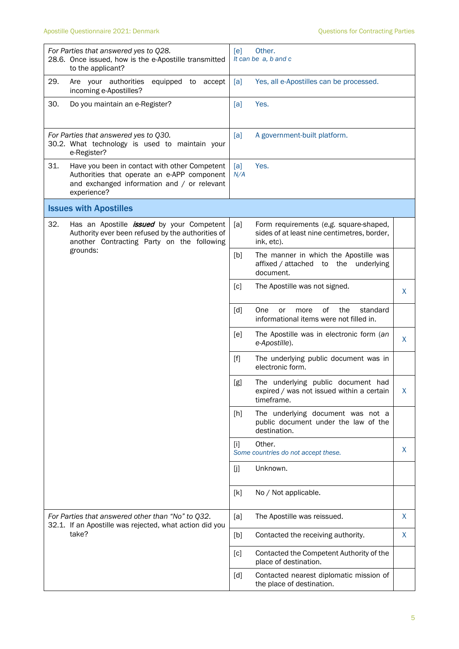| For Parties that answered yes to Q28.<br>28.6. Once issued, how is the e-Apostille transmitted<br>to the applicant?                                               | [ <sub>e</sub> ]<br>Other.<br>It can be a, b and c                                                         |
|-------------------------------------------------------------------------------------------------------------------------------------------------------------------|------------------------------------------------------------------------------------------------------------|
| 29.<br>Are your authorities<br>equipped to<br>accept<br>incoming e-Apostilles?                                                                                    | Yes, all e-Apostilles can be processed.<br>[a]                                                             |
| 30.<br>Do you maintain an e-Register?                                                                                                                             | Yes.<br>[a]                                                                                                |
| For Parties that answered yes to Q30.<br>30.2. What technology is used to maintain your<br>e-Register?                                                            | [a]<br>A government-built platform.                                                                        |
| 31.<br>Have you been in contact with other Competent<br>Authorities that operate an e-APP component<br>and exchanged information and / or relevant<br>experience? | Yes.<br>[a]<br>N/A                                                                                         |
| <b>Issues with Apostilles</b>                                                                                                                                     |                                                                                                            |
| 32.<br>Has an Apostille <i>issued</i> by your Competent<br>Authority ever been refused by the authorities of<br>another Contracting Party on the following        | [a]<br>Form requirements (e.g. square-shaped,<br>sides of at least nine centimetres, border,<br>ink, etc). |
| grounds:                                                                                                                                                          | [b]<br>The manner in which the Apostille was<br>affixed / attached to<br>the<br>underlying<br>document.    |
|                                                                                                                                                                   | [c]<br>The Apostille was not signed.<br>X.                                                                 |
|                                                                                                                                                                   | [d]<br>One<br>of<br>the<br>standard<br>or<br>more<br>informational items were not filled in.               |
|                                                                                                                                                                   | The Apostille was in electronic form (an<br>[e]<br>X<br>e-Apostille).                                      |
|                                                                                                                                                                   | $[f]$<br>The underlying public document was in<br>electronic form.                                         |
|                                                                                                                                                                   | The underlying public document had<br>[g]<br>expired / was not issued within a certain<br>X<br>timeframe.  |
|                                                                                                                                                                   | The underlying document was not a<br>[h]<br>public document under the law of the<br>destination.           |
|                                                                                                                                                                   | Other.<br>$[1]$<br>X<br>Some countries do not accept these.                                                |
|                                                                                                                                                                   | Unknown.<br>[j]                                                                                            |
|                                                                                                                                                                   | [k]<br>No / Not applicable.                                                                                |
| For Parties that answered other than "No" to Q32.<br>32.1. If an Apostille was rejected, what action did you                                                      | The Apostille was reissued.<br>X<br>[a]                                                                    |
| take?                                                                                                                                                             | X<br>Contacted the receiving authority.<br>$[b]$                                                           |
|                                                                                                                                                                   | Contacted the Competent Authority of the<br>[c]<br>place of destination.                                   |
|                                                                                                                                                                   | [d]<br>Contacted nearest diplomatic mission of<br>the place of destination.                                |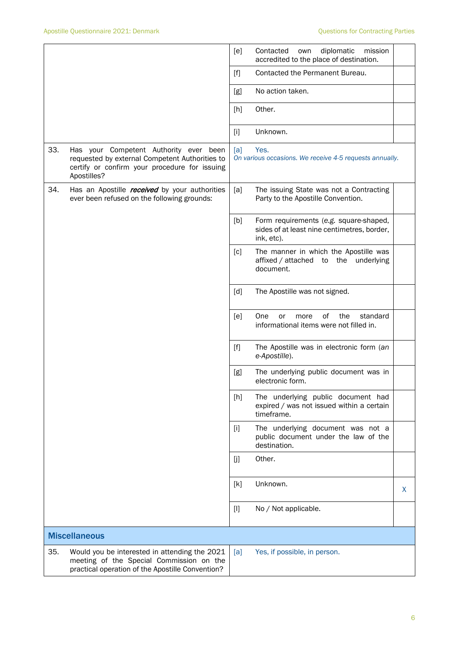|     |                                                                                                                                                          | [e]   | Contacted<br>diplomatic<br>mission<br>own<br>accredited to the place of destination.                |   |
|-----|----------------------------------------------------------------------------------------------------------------------------------------------------------|-------|-----------------------------------------------------------------------------------------------------|---|
|     |                                                                                                                                                          | $[f]$ | Contacted the Permanent Bureau.                                                                     |   |
|     |                                                                                                                                                          | [g]   | No action taken.                                                                                    |   |
|     |                                                                                                                                                          | [h]   | Other.                                                                                              |   |
|     |                                                                                                                                                          | $[1]$ | Unknown.                                                                                            |   |
| 33. | Has your Competent Authority ever been<br>requested by external Competent Authorities to<br>certify or confirm your procedure for issuing<br>Apostilles? | [a]   | Yes.<br>On various occasions. We receive 4-5 requests annually.                                     |   |
| 34. | Has an Apostille received by your authorities<br>ever been refused on the following grounds:                                                             | [a]   | The issuing State was not a Contracting<br>Party to the Apostille Convention.                       |   |
|     |                                                                                                                                                          | [b]   | Form requirements (e.g. square-shaped,<br>sides of at least nine centimetres, border,<br>ink, etc). |   |
|     |                                                                                                                                                          | [c]   | The manner in which the Apostille was<br>affixed / attached<br>the<br>underlying<br>to<br>document. |   |
|     |                                                                                                                                                          | [d]   | The Apostille was not signed.                                                                       |   |
|     |                                                                                                                                                          | [e]   | of<br>the<br>standard<br>One<br>or<br>more<br>informational items were not filled in.               |   |
|     |                                                                                                                                                          | $[f]$ | The Apostille was in electronic form (an<br>e-Apostille).                                           |   |
|     |                                                                                                                                                          | [g]   | The underlying public document was in<br>electronic form.                                           |   |
|     |                                                                                                                                                          | [h]   | The underlying public document had<br>expired / was not issued within a certain<br>timeframe.       |   |
|     |                                                                                                                                                          | $[1]$ | The underlying document was not a<br>public document under the law of the<br>destination.           |   |
|     |                                                                                                                                                          | [j]   | Other.                                                                                              |   |
|     |                                                                                                                                                          | [k]   | Unknown.                                                                                            | X |
|     |                                                                                                                                                          | $[1]$ | No / Not applicable.                                                                                |   |
|     | <b>Miscellaneous</b>                                                                                                                                     |       |                                                                                                     |   |
| 35. | Would you be interested in attending the 2021<br>meeting of the Special Commission on the<br>practical operation of the Apostille Convention?            | [a]   | Yes, if possible, in person.                                                                        |   |